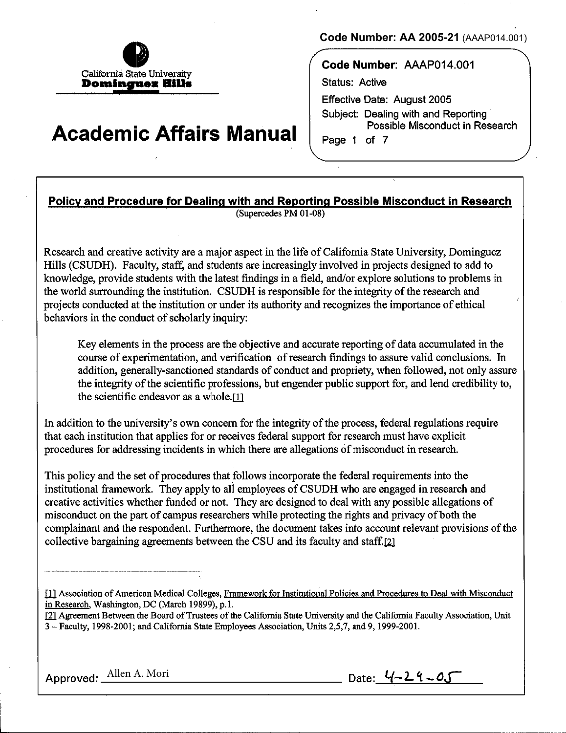

# **Academic Affairs Manual**

**Code Number: AA 2005-21** (AAAP014.001)

**Code Number:** AAAP014.001 Status: Active Effective Date: August 2005 Subject: Dealing with and Reporting Possible Misconduct in Research Page 1 of 7

# **Policy and Procedure for Dealing with and Reporting Possible Misconduct in Research**

(Supercedes PM 01-08)

Research and creative activity are a major aspect in the life of California State University, Dominguez Hills (CSUDH). Faculty, staff, and students are increasingly involved in projects designed to add to knowledge, provide students with the latest findings in a field, and/or explore solutions to problems in the world surrounding the institution. CSUDH is responsible for the integrity of the research and projects conducted at the institution or under its authority and recognizes the importance of ethical behaviors in the conduct of scholarly inquiry:

Key elements in the process are the objective and accurate reporting of data accumulated in the course of experimentation, and verification of research findings to assure valid conclusions. In addition, generally-sanctioned standards of conduct and propriety, when followed, not only assure the integrity of the scientific professions, but engender public support for, and lend credibility to, the scientific endeavor as a whole.[1]

In addition to the university's own concern for the integrity of the process, federal regulations require that each institution that applies for or receives federal support for research must have explicit procedures for addressing incidents in which there are allegations of misconduct in research.

This policy and the set of procedures that follows incorporate the federal requirements into the institutional framework. They apply to all employees of CSUDH who are engaged in research and creative activities whether funded or not. They are designed to deal with any possible allegations of misconduct on the part of campus researchers while protecting the rights and privacy of both the complainant and the respondent. Furthermore, the document takes into account relevant provisions of the collective bargaining agreements between the CSU and its faculty and staff.[2]

- [1] Association of American Medical Colleges, Framework for Institutional Policies and Procedures to Deal with Misconduct in Research, Washington, DC (March 19899), p.l.
- Ill Agreement Between the Board of Trustees of the California State University and the California Faculty Association, Unit 3- Faculty, 1998-2001; and California State Employees Association, Units 2,5,7, and 9, 1999-2001.

Approved: Allen A. Mori **Date:**  $4-24-0.5$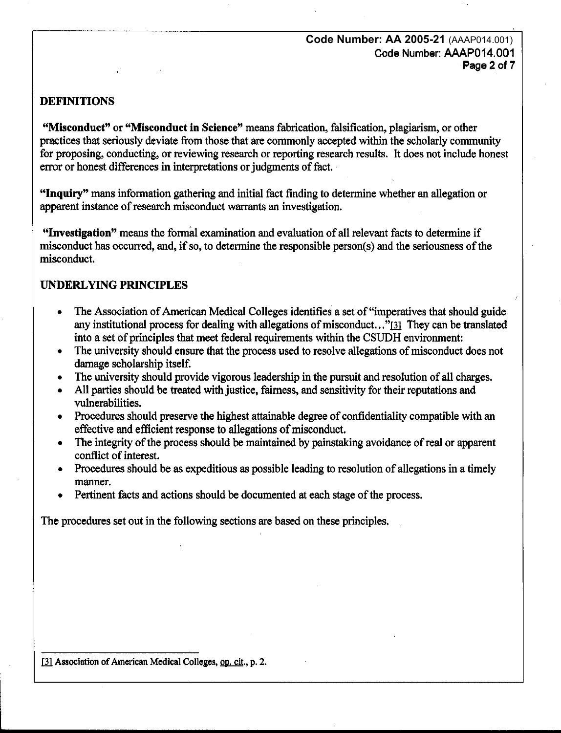## DEFINITIONS

"Misconduct" or "Misconduct in Science" means fabrication, falsification, plagiarism, or other practices that seriously deviate from those that are commonly accepted within the scholarly community for proposing, conducting, or reviewing research or reporting research results. It does not include honest error or honest differences in interpretations or judgments of fact.

"Inquiry" mans information gathering and initial fact finding to determine whether an allegation or apparent instance of research misconduct warrants an investigation.

"Investigation" means the formal examination and evaluation of all relevant facts to determine if misconduct has occurred, and, if so, to determine the responsible person(s) and the seriousness of the misconduct.

# UNDERLYING PRINCIPLES

- The Association of American Medical Colleges identifies a set of "imperatives that should guide any institutional process for dealing with allegations of misconduct..." $[3]$  They can be translated into a set of principles that meet federal requirements within the CSUDH environment:
- The university should ensure that the process used to resolve allegations of misconduct does not damage scholarship itself.
- The university should provide vigorous leadership in the pursuit and resolution of all charges.
- All parties should be treated with justice, fairness, and sensitivity for their reputations and vulnerabilities.
- Procedures should preserve the highest attainable degree of confidentiality compatible with an effective and efficient response to allegations of misconduct.
- The integrity of the process should be maintained by painstaking avoidance of real or apparent conflict of interest.
- Procedures should be as expeditious as possible leading to resolution of allegations in a timely manner.
- Pertinent facts and actions should be documented at each stage of the process.

The procedures set out in the following sections are based on these principles.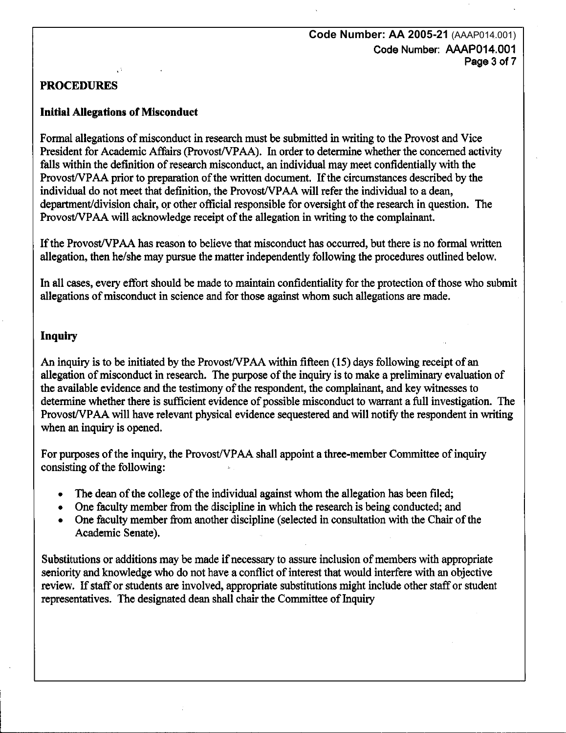#### **Code Number: AA 2005-21** (AAAP014.001) Code Number: AAAP014.001 Page 3 of 7

### PROCEDURES

#### Initial Allegations of Misconduct

Formal allegations of misconduct in research must be submitted in writing to the Provost and Vice President for Academic Affairs (Provost/VPAA). In order to determine whether the concerned activity falls within the definition of research misconduct, an individual may meet confidentially with the Provost/VPAA prior to preparation of the written document. If the circumstances described by the individual do not meet that definition, the Provost/VPAA will refer the individual to a dean, department/division chair, or other official responsible for oversight of the research in question. The Provost/VPAA will acknowledge receipt of the allegation in writing to the complainant.

If the Provost/VPAA has reason to believe that misconduct has occurred, but there is no formal written allegation, then he/she may pursue the matter independently following the procedures outlined below.

In all cases, every effort should be made to maintain confidentiality for the protection of those who submit allegations of misconduct in science and for those against whom such allegations are made.

#### Inquiry

An inquiry is to be initiated by the Provost/VPAA within fifteen (15) days following receipt of an allegation of misconduct in research. The purpose of the inquiry is to make a preliminary evaluation of the available evidence and the testimony of the respondent, the complainant, and key witnesses to determine whether there is sufficient evidence of possible misconduct to warrant a full investigation. The Provost/VPAA will have relevant physical evidence sequestered and will notify the respondent in writing when an inquiry is opened.

For purposes of the inquiry, the Provost/VPAA shall appoint a three-member Committee of inquiry consisting of the following:

- The dean of the college of the individual against whom the allegation has been filed;
- One faculty member from the discipline in which the research is being conducted; and
- One faculty member from another discipline (selected in consultation with the Chair of the Academic Senate).

Substitutions or additions may be made if necessary to assure inclusion of members with appropriate seniority and knowledge who do not have a conflict of interest that would interfere with an objective review. If staff or students are involved, appropriate substitutions might include other staff or student representatives. The designated dean shall chair the Committee of Inquiry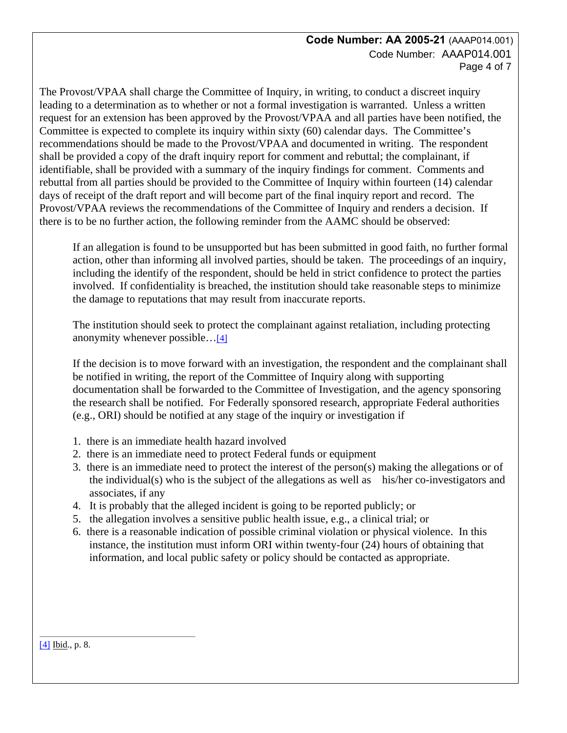#### **Code Number: AA 2005-21** (AAAP014.001) Code Number: AAAP014.001 Page 4 of 7

The Provost/VPAA shall charge the Committee of Inquiry, in writing, to conduct a discreet inquiry leading to a determination as to whether or not a formal investigation is warranted. Unless a written request for an extension has been approved by the Provost/VPAA and all parties have been notified, the Committee is expected to complete its inquiry within sixty (60) calendar days. The Committee's recommendations should be made to the Provost/VPAA and documented in writing. The respondent shall be provided a copy of the draft inquiry report for comment and rebuttal; the complainant, if identifiable, shall be provided with a summary of the inquiry findings for comment. Comments and rebuttal from all parties should be provided to the Committee of Inquiry within fourteen (14) calendar days of receipt of the draft report and will become part of the final inquiry report and record. The Provost/VPAA reviews the recommendations of the Committee of Inquiry and renders a decision. If there is to be no further action, the following reminder from the AAMC should be observed:

If an allegation is found to be unsupported but has been submitted in good faith, no further formal action, other than informing all involved parties, should be taken. The proceedings of an inquiry, including the identify of the respondent, should be held in strict confidence to protect the parties involved. If confidentiality is breached, the institution should take reasonable steps to minimize the damage to reputations that may result from inaccurate reports.

The institution should seek to protect the complainant against retaliation, including protecting anonymity whenever possible…[\[4\]](http://www.csudh.edu/pms/printable/01-08.htm#_ftn4#_ftn4) 

If the decision is to move forward with an investigation, the respondent and the complainant shall be notified in writing, the report of the Committee of Inquiry along with supporting documentation shall be forwarded to the Committee of Investigation, and the agency sponsoring the research shall be notified. For Federally sponsored research, appropriate Federal authorities (e.g., ORI) should be notified at any stage of the inquiry or investigation if

- 1. there is an immediate health hazard involved
- 2. there is an immediate need to protect Federal funds or equipment
- the individual(s) who is the subject of the allegations as well as his/her co-investigators and 3. there is an immediate need to protect the interest of the person(s) making the allegations or of associates, if any
- 4. It is probably that the alleged incident is going to be reported publicly; or
- 5. the allegation involves a sensitive public health issue, e.g., a clinical trial; or
- 6. there is a reasonable indication of possible criminal violation or physical violence. In this instance, the institution must inform ORI within twenty-four (24) hours of obtaining that information, and local public safety or policy should be contacted as appropriate.

[\[4\]](http://www.csudh.edu/pms/printable/01-08.htm#_ftnref4#_ftnref4) Ibid., p. 8.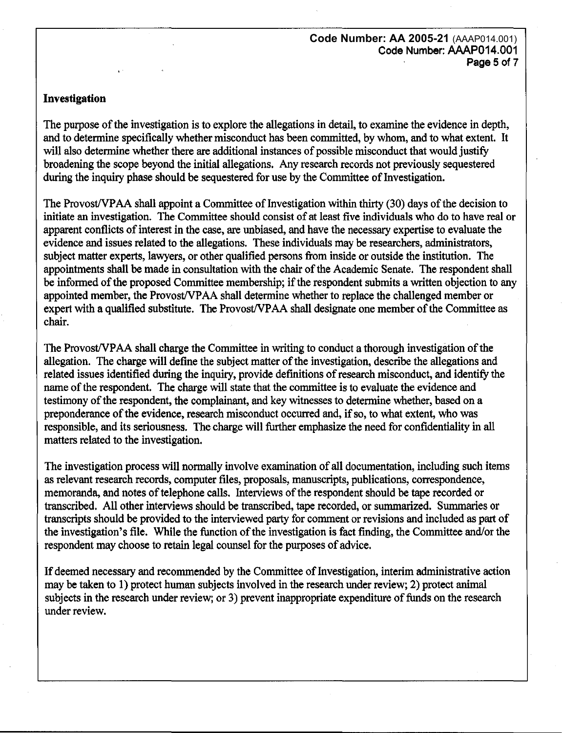**Code Number: AA 2005-21** (AAAP014.001) **Code Number: AAAP014.001**  Page 5 of 7

#### **Investigation**

The purpose of the investigation is to explore the allegations in detail, to examine the evidence in depth, and to determine specifically whether misconduct has been committed, by whom, and to what extent. It will also determine whether there are additional instances of possible misconduct that would justify broadening the scope beyond the initial allegations. Any research records not previously sequestered during the inquiry phase should be sequestered for use by the Committee of Investigation.

The Provost/VPAA shall appoint a Committee of Investigation within thirty (30) days of the decision to initiate an investigation. The Committee should consist of at least five individuals who do to have real or apparent conflicts of interest in the case, are unbiased, and have the necessary expertise to evaluate the evidence and issues related to the allegations. These individuals may be researchers, administrators, subject matter experts, lawyers, or other qualified persons from inside or outside the institution. The appointments shall be made in consultation with the chair of the Academic Senate. The respondent shall be informed of the proposed Committee membership; if the respondent submits a written objection to any appointed member, the Provost/VPAA shall detennine whether to replace the challenged member or expert with a qualified substitute. The Provost/VPAA shall designate one member of the Committee as chair.

The Provost/VPAA shall charge the Committee in writing to conduct a thorough investigation of the allegation. The charge will define the subject matter of the investigation, describe the allegations and related issues identified during the inquiry, provide definitions of research misconduct, and identify the name of the respondent. The charge will state that the committee is to evaluate the evidence and testimony of the respondent, the complainant, and key witnesses to determine whether, based on a preponderance of the evidence, research misconduct occurred and, if so, to what extent, who was responsible, and its seriousness. The charge will further emphasize the need for confidentiality in all matters related to the investigation.

The investigation process will normally involve examination of all documentation, including such items as relevant research records, computer files, proposals, manuscripts, publications, correspondence, memoranda, and notes of telephone calls. Interviews of the respondent should be tape recorded or transcribed. All other interviews should be transcribed, tape recorded, or sununarized. Summaries or transcripts should be provided to the interviewed party for comment or revisions and included as part of the investigation's file. While the function of the investigation is fact finding, the Committee and/or the respondent may choose to retain legal counsel for the purposes of advice.

If deemed necessary and recommended by the Committee of Investigation, interim administrative action may be taken to 1) protect human subjects Involved in the research under review; 2) protect animal subjects in the research under review; or 3) prevent inappropriate expenditure of funds on the research under review.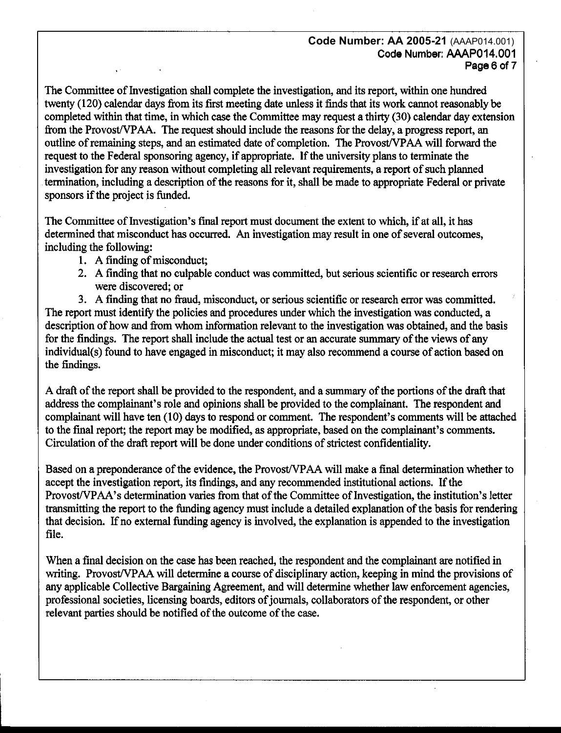#### **Code Number: AA 2005-21** (AAAP014.001) Code Number: AAAP014.001 Page 6 of 7

The Committee of Investigation shall complete the investigation, and its report, within one hundred twenty (120) calendar days from its first meeting date unless it finds that its work cannot reasonably be completed within that time, in which case the Committee may request a thirty (30) calendar day extension from the Provost/VPAA. The request should include the reasons for the delay, a progress report, an outline of remaining steps, and an estimated date of completion. The Provost/VPAA will forward the request to the Federal sponsoring agency, if appropriate. If the university plans to terminate the investigation for any reason without completing all relevant requirements, a report of such planned termination, including a description of the reasons for it, shall be made to appropriate Federal or private sponsors if the project is funded.

The Committee of Investigation's final report must document the extent to which, if at all, it has determined that misconduct has occurred. An investigation may result in one of several outcomes, including the following:

- 1. A finding of misconduct:
- 2. A finding that no culpable conduct was committed, but serious scientific or research errors were discovered; or

3. A finding that no fraud, misconduct, or serious scientific or research error was committed. The report must identify the policies and procedures under which the investigation was conducted, a description of how and from whom information relevant to the investigation was obtained, and the basis for the findings. The report shall include the actual test or an accurate summary of the views of any individual(s) found to have engaged in misconduct; it may also recommend a course of action based on the findings.

A draft of the report shall be provided to the respondent, and a summary of the portions of the draft that address the complainant's role and opinions shall be provided to the complainant. The respondent and complainant will have ten (10) days to respond or comment. The respondent's comments will be attached to the final report; the report may be modified, as appropriate, based on the complainant's comments. Circulation of the draft report will be done under conditions of strictest confidentiality.

Based on a preponderance of the evidence, the Provost/VPAA will make a final determination whether to accept the investigation report, its findings, and any recommended institutional actions. If the Provost/VPAA's determination varies from that of the Committee of Investigation, the institution's letter transmitting the report to the funding agency must include a detailed explanation of the basis for rendering that decision. If no external funding agency is involved, the explanation is appended to the investigation file.

When a final decision on the case has been reached, the respondent and the complainant are notified in writing. Provost/VPAA will determine a course of disciplinary action, keeping in mind the provisions of any applicable Collective Bargaining Agreement, and will determine whether law enforcement agencies, professional societies, licensing boards, editors of journals, collaborators of the respondent, or other relevant parties should be notified of the outcome of the case.